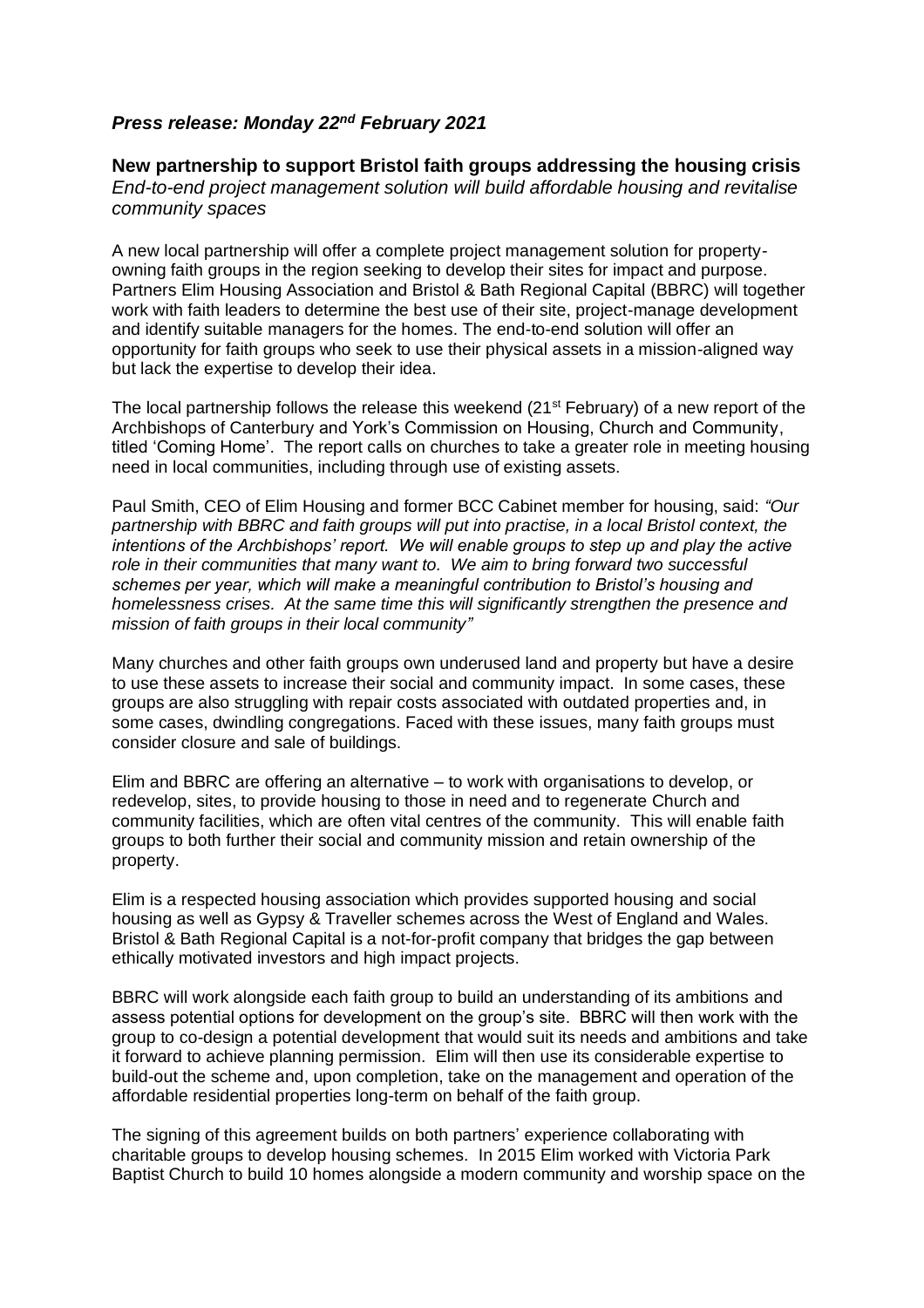## *Press release: Monday 22nd February 2021*

**New partnership to support Bristol faith groups addressing the housing crisis** *End-to-end project management solution will build affordable housing and revitalise community spaces*

A new local partnership will offer a complete project management solution for propertyowning faith groups in the region seeking to develop their sites for impact and purpose. Partners Elim Housing Association and Bristol & Bath Regional Capital (BBRC) will together work with faith leaders to determine the best use of their site, project-manage development and identify suitable managers for the homes. The end-to-end solution will offer an opportunity for faith groups who seek to use their physical assets in a mission-aligned way but lack the expertise to develop their idea.

The local partnership follows the release this weekend (21<sup>st</sup> February) of a new report of the Archbishops of Canterbury and York's Commission on Housing, Church and Community, titled 'Coming Home'. The report calls on churches to take a greater role in meeting housing need in local communities, including through use of existing assets.

Paul Smith, CEO of Elim Housing and former BCC Cabinet member for housing, said: *"Our partnership with BBRC and faith groups will put into practise, in a local Bristol context, the intentions of the Archbishops' report. We will enable groups to step up and play the active role in their communities that many want to. We aim to bring forward two successful schemes per year, which will make a meaningful contribution to Bristol's housing and homelessness crises. At the same time this will significantly strengthen the presence and mission of faith groups in their local community"*

Many churches and other faith groups own underused land and property but have a desire to use these assets to increase their social and community impact. In some cases, these groups are also struggling with repair costs associated with outdated properties and, in some cases, dwindling congregations. Faced with these issues, many faith groups must consider closure and sale of buildings.

Elim and BBRC are offering an alternative – to work with organisations to develop, or redevelop, sites, to provide housing to those in need and to regenerate Church and community facilities, which are often vital centres of the community. This will enable faith groups to both further their social and community mission and retain ownership of the property.

Elim is a respected housing association which provides supported housing and social housing as well as Gypsy & Traveller schemes across the West of England and Wales. Bristol & Bath Regional Capital is a not-for-profit company that bridges the gap between ethically motivated investors and high impact projects.

BBRC will work alongside each faith group to build an understanding of its ambitions and assess potential options for development on the group's site. BBRC will then work with the group to co-design a potential development that would suit its needs and ambitions and take it forward to achieve planning permission. Elim will then use its considerable expertise to build-out the scheme and, upon completion, take on the management and operation of the affordable residential properties long-term on behalf of the faith group.

The signing of this agreement builds on both partners' experience collaborating with charitable groups to develop housing schemes. In 2015 Elim worked with Victoria Park Baptist Church to build 10 homes alongside a modern community and worship space on the